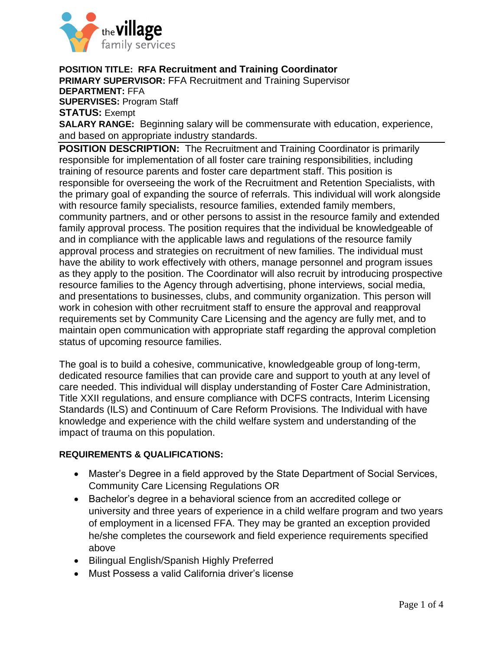

**POSITION TITLE: RFA Recruitment and Training Coordinator**

**PRIMARY SUPERVISOR:** FFA Recruitment and Training Supervisor **DEPARTMENT:** FFA **SUPERVISES:** Program Staff **STATUS:** Exempt **SALARY RANGE:** Beginning salary will be commensurate with education, experience, and based on appropriate industry standards.

**POSITION DESCRIPTION:** The Recruitment and Training Coordinator is primarily responsible for implementation of all foster care training responsibilities, including training of resource parents and foster care department staff. This position is responsible for overseeing the work of the Recruitment and Retention Specialists, with the primary goal of expanding the source of referrals. This individual will work alongside with resource family specialists, resource families, extended family members, community partners, and or other persons to assist in the resource family and extended family approval process. The position requires that the individual be knowledgeable of and in compliance with the applicable laws and regulations of the resource family approval process and strategies on recruitment of new families. The individual must have the ability to work effectively with others, manage personnel and program issues as they apply to the position. The Coordinator will also recruit by introducing prospective resource families to the Agency through advertising, phone interviews, social media, and presentations to businesses, clubs, and community organization. This person will work in cohesion with other recruitment staff to ensure the approval and reapproval requirements set by Community Care Licensing and the agency are fully met, and to maintain open communication with appropriate staff regarding the approval completion status of upcoming resource families.

The goal is to build a cohesive, communicative, knowledgeable group of long-term, dedicated resource families that can provide care and support to youth at any level of care needed. This individual will display understanding of Foster Care Administration, Title XXII regulations, and ensure compliance with DCFS contracts, Interim Licensing Standards (ILS) and Continuum of Care Reform Provisions. The Individual with have knowledge and experience with the child welfare system and understanding of the impact of trauma on this population.

## **REQUIREMENTS & QUALIFICATIONS:**

- Master's Degree in a field approved by the State Department of Social Services, Community Care Licensing Regulations OR
- Bachelor's degree in a behavioral science from an accredited college or university and three years of experience in a child welfare program and two years of employment in a licensed FFA. They may be granted an exception provided he/she completes the coursework and field experience requirements specified above
- Bilingual English/Spanish Highly Preferred
- Must Possess a valid California driver's license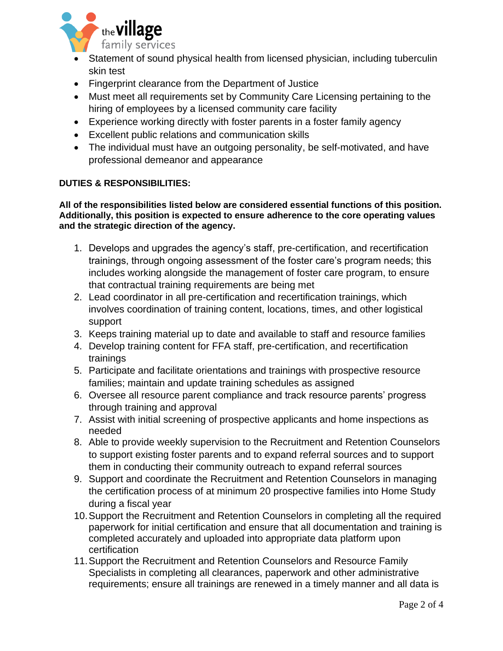

- Statement of sound physical health from licensed physician, including tuberculin skin test
- Fingerprint clearance from the Department of Justice
- Must meet all requirements set by Community Care Licensing pertaining to the hiring of employees by a licensed community care facility
- Experience working directly with foster parents in a foster family agency
- Excellent public relations and communication skills
- The individual must have an outgoing personality, be self-motivated, and have professional demeanor and appearance

## **DUTIES & RESPONSIBILITIES:**

**All of the responsibilities listed below are considered essential functions of this position. Additionally, this position is expected to ensure adherence to the core operating values and the strategic direction of the agency.** 

- 1. Develops and upgrades the agency's staff, pre-certification, and recertification trainings, through ongoing assessment of the foster care's program needs; this includes working alongside the management of foster care program, to ensure that contractual training requirements are being met
- 2. Lead coordinator in all pre-certification and recertification trainings, which involves coordination of training content, locations, times, and other logistical support
- 3. Keeps training material up to date and available to staff and resource families
- 4. Develop training content for FFA staff, pre-certification, and recertification trainings
- 5. Participate and facilitate orientations and trainings with prospective resource families; maintain and update training schedules as assigned
- 6. Oversee all resource parent compliance and track resource parents' progress through training and approval
- 7. Assist with initial screening of prospective applicants and home inspections as needed
- 8. Able to provide weekly supervision to the Recruitment and Retention Counselors to support existing foster parents and to expand referral sources and to support them in conducting their community outreach to expand referral sources
- 9. Support and coordinate the Recruitment and Retention Counselors in managing the certification process of at minimum 20 prospective families into Home Study during a fiscal year
- 10.Support the Recruitment and Retention Counselors in completing all the required paperwork for initial certification and ensure that all documentation and training is completed accurately and uploaded into appropriate data platform upon certification
- 11.Support the Recruitment and Retention Counselors and Resource Family Specialists in completing all clearances, paperwork and other administrative requirements; ensure all trainings are renewed in a timely manner and all data is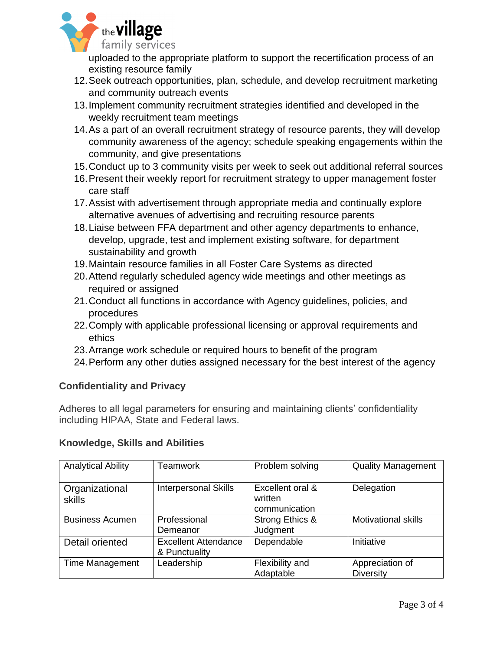

uploaded to the appropriate platform to support the recertification process of an existing resource family

- 12.Seek outreach opportunities, plan, schedule, and develop recruitment marketing and community outreach events
- 13.Implement community recruitment strategies identified and developed in the weekly recruitment team meetings
- 14.As a part of an overall recruitment strategy of resource parents, they will develop community awareness of the agency; schedule speaking engagements within the community, and give presentations
- 15.Conduct up to 3 community visits per week to seek out additional referral sources
- 16.Present their weekly report for recruitment strategy to upper management foster care staff
- 17.Assist with advertisement through appropriate media and continually explore alternative avenues of advertising and recruiting resource parents
- 18.Liaise between FFA department and other agency departments to enhance, develop, upgrade, test and implement existing software, for department sustainability and growth
- 19.Maintain resource families in all Foster Care Systems as directed
- 20.Attend regularly scheduled agency wide meetings and other meetings as required or assigned
- 21.Conduct all functions in accordance with Agency guidelines, policies, and procedures
- 22.Comply with applicable professional licensing or approval requirements and ethics
- 23.Arrange work schedule or required hours to benefit of the program
- 24.Perform any other duties assigned necessary for the best interest of the agency

## **Confidentiality and Privacy**

Adheres to all legal parameters for ensuring and maintaining clients' confidentiality including HIPAA, State and Federal laws.

## **Knowledge, Skills and Abilities**

| <b>Analytical Ability</b> | Teamwork                                     | Problem solving                              | <b>Quality Management</b>           |
|---------------------------|----------------------------------------------|----------------------------------------------|-------------------------------------|
| Organizational<br>skills  | <b>Interpersonal Skills</b>                  | Excellent oral &<br>written<br>communication | Delegation                          |
| <b>Business Acumen</b>    | Professional<br>Demeanor                     | Strong Ethics &<br>Judgment                  | <b>Motivational skills</b>          |
| Detail oriented           | <b>Excellent Attendance</b><br>& Punctuality | Dependable                                   | Initiative                          |
| <b>Time Management</b>    | Leadership                                   | Flexibility and<br>Adaptable                 | Appreciation of<br><b>Diversity</b> |